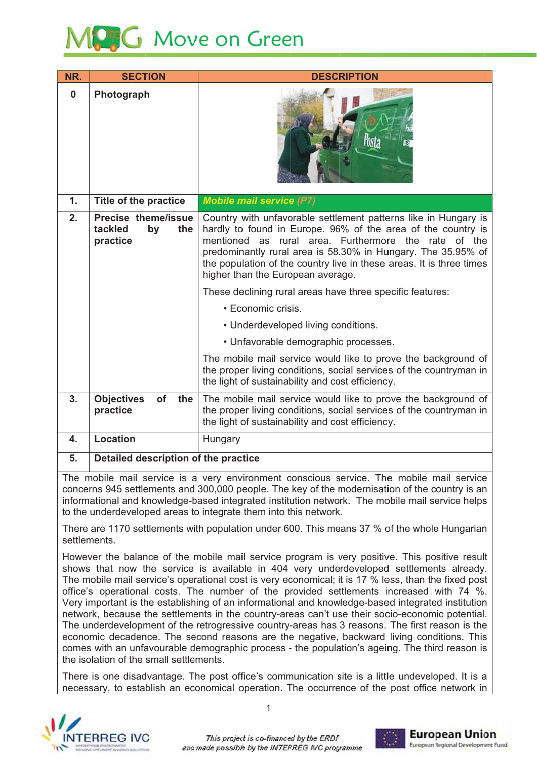# **AG** Move on Green

| NR.      | <b>SECTION</b>                                          | <b>DESCRIPTION</b>                                                                                                                                                                                                                                                                                                                                                                                                                                                                                                                                                                                                                                                                                                                   |
|----------|---------------------------------------------------------|--------------------------------------------------------------------------------------------------------------------------------------------------------------------------------------------------------------------------------------------------------------------------------------------------------------------------------------------------------------------------------------------------------------------------------------------------------------------------------------------------------------------------------------------------------------------------------------------------------------------------------------------------------------------------------------------------------------------------------------|
| $\bf{0}$ | Photograph                                              |                                                                                                                                                                                                                                                                                                                                                                                                                                                                                                                                                                                                                                                                                                                                      |
| 1.       | Title of the practice                                   | <b>Mobile mail service (P7)</b>                                                                                                                                                                                                                                                                                                                                                                                                                                                                                                                                                                                                                                                                                                      |
| 2.       | Precise theme/issue<br>tackled<br>by<br>the<br>practice | Country with unfavorable settlement patterns like in Hungary is<br>hardly to found in Europe. 96% of the area of the country is<br>as rural area. Furthermore the rate of the<br>mentioned<br>predominantly rural area is 58.30% in Hungary. The 35.95% of<br>the population of the country live in these areas. It is three times<br>higher than the European average.<br>These declining rural areas have three specific features:<br>• Economic crisis.<br>• Underdeveloped living conditions.<br>• Unfavorable demographic processes.<br>The mobile mail service would like to prove the background of<br>the proper living conditions, social services of the countryman in<br>the light of sustainability and cost efficiency. |
| 3.       | <b>Objectives</b><br>of<br>the<br>practice              | The mobile mail service would like to prove the background of<br>the proper living conditions, social services of the countryman in<br>the light of sustainability and cost efficiency.                                                                                                                                                                                                                                                                                                                                                                                                                                                                                                                                              |
| 4.       | Location                                                | Hungary                                                                                                                                                                                                                                                                                                                                                                                                                                                                                                                                                                                                                                                                                                                              |
| 5.       | Detailed description of the practice                    |                                                                                                                                                                                                                                                                                                                                                                                                                                                                                                                                                                                                                                                                                                                                      |

The mobile mail service is a very environment conscious service. The mobile mail service concerns 945 settlements and 300,000 people. The key of the modernisation of the country is an informational and knowledge-based integrated institution network. The mobile mail service helps to the underdeveloped areas to integrate them into this network.

There are 1170 settlements with population under 600. This means 37 % of the whole Hungarian settlements

However the balance of the mobile mail service program is very positive. This positive result shows that now the service is available in 404 very underdeveloped settlements already. The mobile mail service's operational cost is very economical; it is 17 % less, than the fixed post office's operational costs. The number of the provided settlements increased with 74 %. Very important is the establishing of an informational and knowledge-based integrated institution network, because the settlements in the country-areas can't use their socio-economic potential. The underdevelopment of the retrogressive country-areas has 3 reasons. The first reason is the economic decadence. The second reasons are the negative, backward living conditions. This comes with an unfavourable demographic process - the population's ageing. The third reason is the isolation of the small settlements.

There is one disadvantage. The post office's communication site is a little undeveloped. It is a necessary, to establish an economical operation. The occurrence of the post office network in



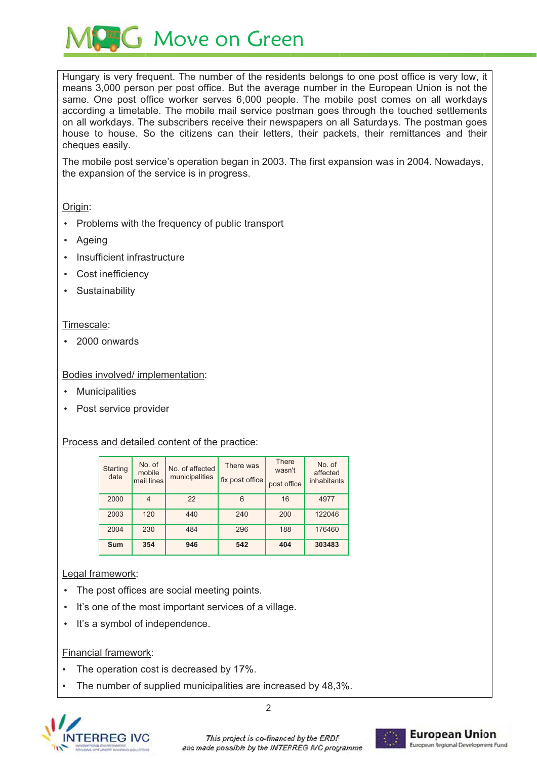**G** Move on Green

Hungary is very frequent. The number of the residents belongs to one post office is very low, it means 3,000 person per post office. But the average number in the European Union is not the same. One post office worker serves 6,000 people. The mobile post comes on all workdays according a timetable. The mobile mail service postman goes through the touched settlements on all workdays. The subscribers receive their newspapers on all Saturdays. The postman goes house to house. So the citizens can their letters, their packets, their remittances and their cheques easily.

The mobile post service's operation began in 2003. The first expansion was in 2004. Nowadays, the expansion of the service is in progress.

#### Origin:

- Problems with the frequency of public transport
- Ageing
- Insufficient infrastructure
- Cost inefficiency
- Sustainability

#### Timescale:

· 2000 onwards

## Bodies involved/ implementation:

- Municipalities
- Post service provider

#### Process and detailed content of the practice:

| <b>Starting</b><br>date | No. of<br>mobile<br>mail lines | No. of affected<br>municipalities | There was<br>fix post office | <b>There</b><br>wasn't<br>post office | No. of<br>affected<br>inhabitants |
|-------------------------|--------------------------------|-----------------------------------|------------------------------|---------------------------------------|-----------------------------------|
| 2000                    | 4                              | 22                                | 6                            | 16                                    | 4977                              |
| 2003                    | 120                            | 440                               | 240                          | 200                                   | 122046                            |
| 2004                    | 230                            | 484                               | 296                          | 188                                   | 176460                            |
| Sum                     | 354                            | 946                               | 542                          | 404                                   | 303483                            |

# Legal framework:

- The post offices are social meeting points.
- . It's one of the most important services of a village.
- It's a symbol of independence.

#### **Financial framework:**

- The operation cost is decreased by 17%.
- The number of supplied municipalities are increased by 48,3%.



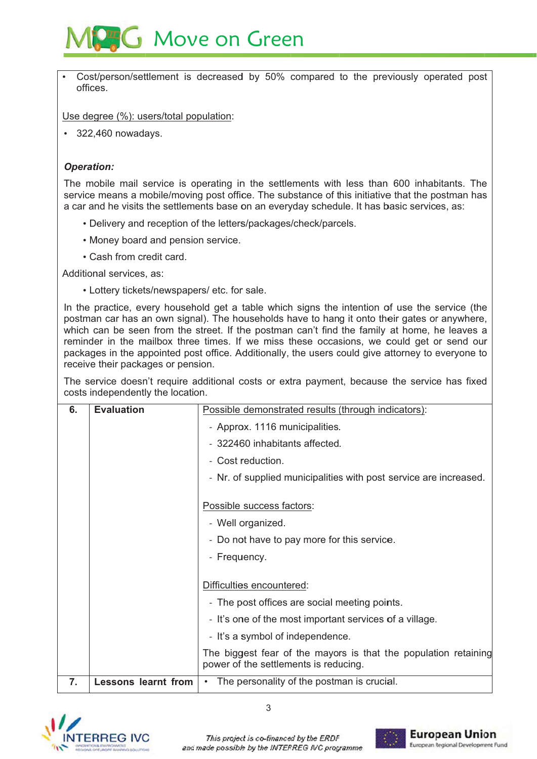

Cost/person/settlement is decreased by 50% compared to the previously operated post offices.

Use degree (%): users/total population:

 $\cdot$  322,460 nowadays.

## **Operation:**

The mobile mail service is operating in the settlements with less than 600 inhabitants. The service means a mobile/moving post office. The substance of this initiative that the postman has a car and he visits the settlements base on an everyday schedule. It has basic services, as:

- Delivery and reception of the letters/packages/check/parcels.
- Money board and pension service.
- Cash from credit card.

Additional services, as:

• Lottery tickets/newspapers/ etc. for sale.

In the practice, every household get a table which signs the intention of use the service (the postman car has an own signal). The households have to hang it onto their gates or anywhere, which can be seen from the street. If the postman can't find the family at home, he leaves a reminder in the mailbox three times. If we miss these occasions, we could get or send our packages in the appointed post office. Additionally, the users could give attorney to everyone to receive their packages or pension.

The service doesn't require additional costs or extra payment, because the service has fixed costs independently the location.

| 6. | <b>Evaluation</b>          | Possible demonstrated results (through indicators):                                                      |  |
|----|----------------------------|----------------------------------------------------------------------------------------------------------|--|
|    |                            | - Approx. 1116 municipalities.                                                                           |  |
|    |                            | - 322460 inhabitants affected.                                                                           |  |
|    |                            | - Cost reduction.                                                                                        |  |
|    |                            | - Nr. of supplied municipalities with post service are increased.                                        |  |
|    |                            |                                                                                                          |  |
|    |                            | Possible success factors:                                                                                |  |
|    |                            | - Well organized.                                                                                        |  |
|    |                            | - Do not have to pay more for this service.                                                              |  |
|    |                            | - Frequency.                                                                                             |  |
|    |                            |                                                                                                          |  |
|    |                            | Difficulties encountered:                                                                                |  |
|    |                            | - The post offices are social meeting points.                                                            |  |
|    |                            | - It's one of the most important services of a village.                                                  |  |
|    |                            | - It's a symbol of independence.                                                                         |  |
|    |                            | The biggest fear of the mayors is that the population retaining<br>power of the settlements is reducing. |  |
| 7. | <b>Lessons learnt from</b> | The personality of the postman is crucial.<br>$\bullet$                                                  |  |